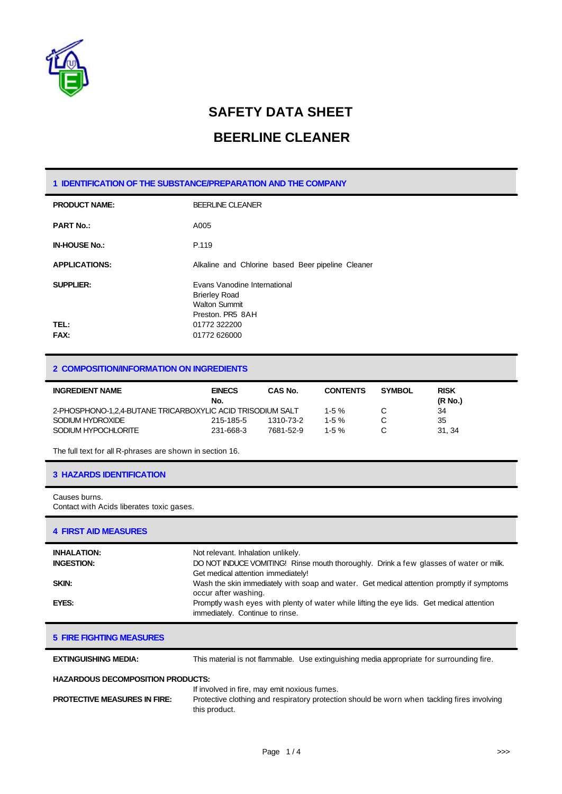

## **SAFETY DATA SHEET**

### **BEERLINE CLEANER**

#### **1 IDENTIFICATION OF THE SUBSTANCE/PREPARATION AND THE COMPANY**

| <b>PRODUCT NAME:</b> | <b>BEERLINE CLEANER</b>                                                                          |  |  |
|----------------------|--------------------------------------------------------------------------------------------------|--|--|
| <b>PART No.:</b>     | A005                                                                                             |  |  |
| <b>IN-HOUSE No.:</b> | P.119                                                                                            |  |  |
| <b>APPLICATIONS:</b> | Alkaline and Chlorine based Beer pipeline Cleaner                                                |  |  |
| <b>SUPPLIER:</b>     | Evans Vanodine International<br><b>Brierley Road</b><br><b>Walton Summit</b><br>Preston, PR5 8AH |  |  |
| TEL:<br>FAX:         | 01772 322200<br>01772 626000                                                                     |  |  |

#### **2 COMPOSITION/INFORMATION ON INGREDIENTS**

| <b>INGREDIENT NAME</b>                                     | <b>EINECS</b><br>No. | CAS No.   | <b>CONTENTS</b> | <b>SYMBOL</b> | <b>RISK</b><br>(R No.) |
|------------------------------------------------------------|----------------------|-----------|-----------------|---------------|------------------------|
| 2-PHOSPHONO-1.2.4-BUTANE TRICARBOXYLIC ACID TRISODIUM SALT |                      |           | $1-5%$          |               | 34                     |
| SODIUM HYDROXIDE                                           | 215-185-5            | 1310-73-2 | $1-5%$          |               | 35                     |
| SODIUM HYPOCHLORITE                                        | 231-668-3            | 7681-52-9 | $1-5%$          |               | 31.34                  |

The full text for all R-phrases are shown in section 16.

#### **3 HAZARDS IDENTIFICATION**

Causes burns. Contact with Acids liberates toxic gases.

#### **4 FIRST AID MEASURES**

| <b>INHALATION:</b><br><b>INGESTION:</b> | Not relevant. Inhalation unlikely.<br>DO NOT INDUCE VOMITING! Rinse mouth thoroughly. Drink a few glasses of water or milk.<br>Get medical attention immediately! |
|-----------------------------------------|-------------------------------------------------------------------------------------------------------------------------------------------------------------------|
| <b>SKIN:</b>                            | Wash the skin immediately with soap and water. Get medical attention promptly if symptoms<br>occur after washing.                                                 |
| EYES:                                   | Promptly wash eyes with plenty of water while lifting the eye lids. Get medical attention<br>immediately. Continue to rinse.                                      |

|  |  |  |  | <b>5 FIRE FIGHTING MEASURES</b> |
|--|--|--|--|---------------------------------|
|--|--|--|--|---------------------------------|

**EXTINGUISHING MEDIA:** This material is not flammable. Use extinguishing media appropriate for surrounding fire.

#### **HAZARDOUS DECOMPOSITION PRODUCTS:**

If involved in fire, may emit noxious fumes.

| <b>PROTECTIVE MEASURES IN FIRE:</b> | Protective clothing and respiratory protection should be worn when tackling fires involving |
|-------------------------------------|---------------------------------------------------------------------------------------------|
|                                     | this product.                                                                               |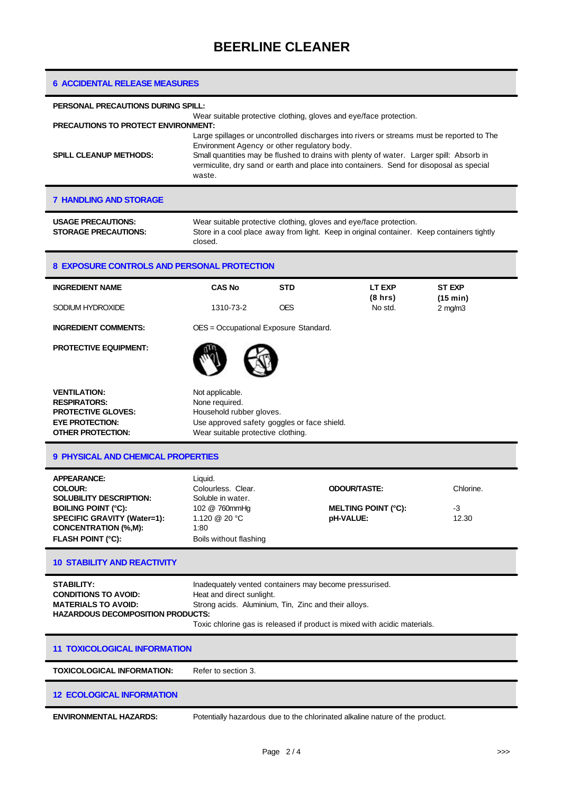| <b>6 ACCIDENTAL RELEASE MEASURES</b>                                                                                                                                                                                                                                                                                                                   |                                                                                                                                                                                                                                                                                                                                           |            |                                                                              |                           |
|--------------------------------------------------------------------------------------------------------------------------------------------------------------------------------------------------------------------------------------------------------------------------------------------------------------------------------------------------------|-------------------------------------------------------------------------------------------------------------------------------------------------------------------------------------------------------------------------------------------------------------------------------------------------------------------------------------------|------------|------------------------------------------------------------------------------|---------------------------|
| PERSONAL PRECAUTIONS DURING SPILL:                                                                                                                                                                                                                                                                                                                     |                                                                                                                                                                                                                                                                                                                                           |            |                                                                              |                           |
| PRECAUTIONS TO PROTECT ENVIRONMENT:                                                                                                                                                                                                                                                                                                                    |                                                                                                                                                                                                                                                                                                                                           |            | Wear suitable protective clothing, gloves and eye/face protection.           |                           |
| <b>SPILL CLEANUP METHODS:</b>                                                                                                                                                                                                                                                                                                                          | Large spillages or uncontrolled discharges into rivers or streams must be reported to The<br>Environment Agency or other regulatory body.<br>Small quantities may be flushed to drains with plenty of water. Larger spill: Absorb in<br>vermiculite, dry sand or earth and place into containers. Send for disoposal as special<br>waste. |            |                                                                              |                           |
| <b>7 HANDLING AND STORAGE</b>                                                                                                                                                                                                                                                                                                                          |                                                                                                                                                                                                                                                                                                                                           |            |                                                                              |                           |
| <b>USAGE PRECAUTIONS:</b><br><b>STORAGE PRECAUTIONS:</b>                                                                                                                                                                                                                                                                                               | Wear suitable protective clothing, gloves and eye/face protection.<br>Store in a cool place away from light. Keep in original container. Keep containers tightly<br>closed.                                                                                                                                                               |            |                                                                              |                           |
| <b>8 EXPOSURE CONTROLS AND PERSONAL PROTECTION</b>                                                                                                                                                                                                                                                                                                     |                                                                                                                                                                                                                                                                                                                                           |            |                                                                              |                           |
| <b>INGREDIENT NAME</b>                                                                                                                                                                                                                                                                                                                                 | <b>CAS No</b>                                                                                                                                                                                                                                                                                                                             | <b>STD</b> | LT EXP<br>(8 hrs)                                                            | <b>ST EXP</b><br>(15 min) |
| SODIUM HYDROXIDE                                                                                                                                                                                                                                                                                                                                       | 1310-73-2                                                                                                                                                                                                                                                                                                                                 | <b>OES</b> | No std.                                                                      | $2$ mg/m $3$              |
| <b>INGREDIENT COMMENTS:</b>                                                                                                                                                                                                                                                                                                                            | OES = Occupational Exposure Standard.                                                                                                                                                                                                                                                                                                     |            |                                                                              |                           |
| <b>PROTECTIVE EQUIPMENT:</b>                                                                                                                                                                                                                                                                                                                           |                                                                                                                                                                                                                                                                                                                                           |            |                                                                              |                           |
| <b>VENTILATION:</b><br><b>RESPIRATORS:</b><br><b>PROTECTIVE GLOVES:</b><br><b>EYE PROTECTION:</b><br><b>OTHER PROTECTION:</b>                                                                                                                                                                                                                          | Not applicable.<br>None required.<br>Household rubber gloves.<br>Use approved safety goggles or face shield.<br>Wear suitable protective clothing.                                                                                                                                                                                        |            |                                                                              |                           |
| <b>9 PHYSICAL AND CHEMICAL PROPERTIES</b>                                                                                                                                                                                                                                                                                                              |                                                                                                                                                                                                                                                                                                                                           |            |                                                                              |                           |
| <b>APPEARANCE:</b><br><b>COLOUR:</b><br><b>SOLUBILITY DESCRIPTION:</b><br><b>BOILING POINT (°C):</b><br>SPECIFIC GRAVITY (Water=1):<br><b>CONCENTRATION (%,M):</b><br><b>FLASH POINT (°C):</b>                                                                                                                                                         | Liquid.<br>Colourless. Clear.<br>Soluble in water.<br>102 @ 760mmHg<br>1.120 @ 20 °C<br>1:80<br>Boils without flashing                                                                                                                                                                                                                    |            | <b>ODOUR/TASTE:</b><br><b>MELTING POINT (°C):</b><br>pH-VALUE:               | Chlorine.<br>-3<br>12.30  |
| <b>10 STABILITY AND REACTIVITY</b>                                                                                                                                                                                                                                                                                                                     |                                                                                                                                                                                                                                                                                                                                           |            |                                                                              |                           |
| <b>STABILITY:</b><br>Inadequately vented containers may become pressurised.<br><b>CONDITIONS TO AVOID:</b><br>Heat and direct sunlight.<br><b>MATERIALS TO AVOID:</b><br>Strong acids. Aluminium, Tin, Zinc and their alloys.<br><b>HAZARDOUS DECOMPOSITION PRODUCTS:</b><br>Toxic chlorine gas is released if product is mixed with acidic materials. |                                                                                                                                                                                                                                                                                                                                           |            |                                                                              |                           |
| <b>11 TOXICOLOGICAL INFORMATION</b>                                                                                                                                                                                                                                                                                                                    |                                                                                                                                                                                                                                                                                                                                           |            |                                                                              |                           |
| <b>TOXICOLOGICAL INFORMATION:</b>                                                                                                                                                                                                                                                                                                                      | Refer to section 3.                                                                                                                                                                                                                                                                                                                       |            |                                                                              |                           |
| <b>12 ECOLOGICAL INFORMATION</b>                                                                                                                                                                                                                                                                                                                       |                                                                                                                                                                                                                                                                                                                                           |            |                                                                              |                           |
| <b>ENVIRONMENTAL HAZARDS:</b>                                                                                                                                                                                                                                                                                                                          |                                                                                                                                                                                                                                                                                                                                           |            | Potentially hazardous due to the chlorinated alkaline nature of the product. |                           |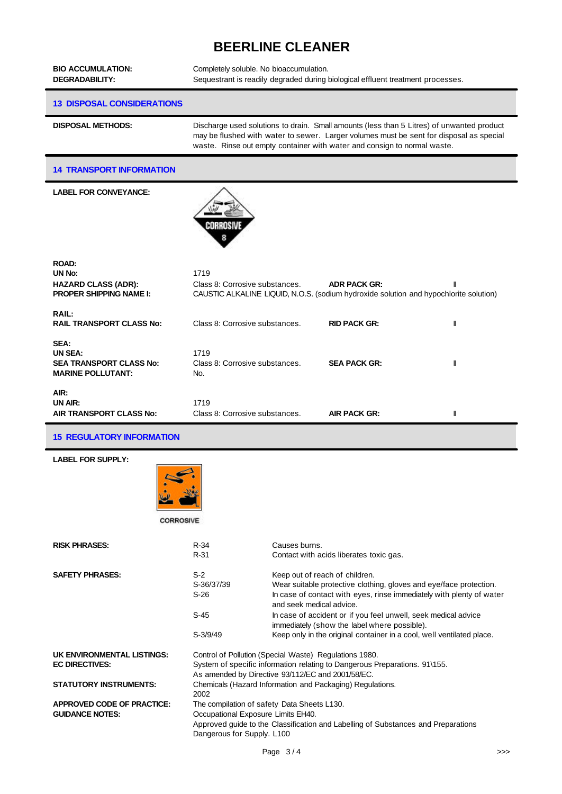# **BEERLINE CLEANER**

| <b>BIO ACCUMULATION:</b><br><b>DEGRADABILITY:</b>                                      | Completely soluble. No bioaccumulation.<br>Sequestrant is readily degraded during biological effluent treatment processes.                                                                                                                                       |                     |   |
|----------------------------------------------------------------------------------------|------------------------------------------------------------------------------------------------------------------------------------------------------------------------------------------------------------------------------------------------------------------|---------------------|---|
| <b>13 DISPOSAL CONSIDERATIONS</b>                                                      |                                                                                                                                                                                                                                                                  |                     |   |
| <b>DISPOSAL METHODS:</b>                                                               | Discharge used solutions to drain. Small amounts (less than 5 Litres) of unwanted product<br>may be flushed with water to sewer. Larger volumes must be sent for disposal as special<br>waste. Rinse out empty container with water and consign to normal waste. |                     |   |
| <b>14 TRANSPORT INFORMATION</b>                                                        |                                                                                                                                                                                                                                                                  |                     |   |
| <b>LABEL FOR CONVEYANCE:</b>                                                           | Corrosivi                                                                                                                                                                                                                                                        |                     |   |
| <b>ROAD:</b><br>UN No:<br><b>HAZARD CLASS (ADR):</b><br><b>PROPER SHIPPING NAME I:</b> | 1719<br>Class 8: Corrosive substances.<br>CAUSTIC ALKALINE LIQUID, N.O.S. (sodium hydroxide solution and hypochlorite solution)                                                                                                                                  | <b>ADR PACK GR:</b> |   |
| <b>RAIL:</b><br><b>RAIL TRANSPORT CLASS No:</b>                                        | Class 8: Corrosive substances.                                                                                                                                                                                                                                   | <b>RID PACK GR:</b> | Ш |
| SEA:<br>UN SEA:<br><b>SEA TRANSPORT CLASS No:</b><br><b>MARINE POLLUTANT:</b>          | 1719<br>Class 8: Corrosive substances.<br>No.                                                                                                                                                                                                                    | <b>SEA PACK GR:</b> | Ш |
| AIR:<br>UN AIR:                                                                        | 1719<br>Class 8: Corrosive substances.                                                                                                                                                                                                                           | <b>AIR PACK GR:</b> | Ш |



CORROSIVE

| <b>RISK PHRASES:</b>                                        | R-34<br>R-31                                                                                                                                                                                         | Causes burns.<br>Contact with acids liberates toxic gas.                                                                                                                                                 |  |
|-------------------------------------------------------------|------------------------------------------------------------------------------------------------------------------------------------------------------------------------------------------------------|----------------------------------------------------------------------------------------------------------------------------------------------------------------------------------------------------------|--|
| <b>SAFETY PHRASES:</b>                                      | $S-2$<br>S-36/37/39<br>$S-26$                                                                                                                                                                        | Keep out of reach of children.<br>Wear suitable protective clothing, gloves and eye/face protection.<br>In case of contact with eyes, rinse immediately with plenty of water<br>and seek medical advice. |  |
|                                                             | $S-45$                                                                                                                                                                                               | In case of accident or if you feel unwell, seek medical advice<br>immediately (show the label where possible).                                                                                           |  |
|                                                             | $S-3/9/49$                                                                                                                                                                                           | Keep only in the original container in a cool, well ventilated place.                                                                                                                                    |  |
| UK ENVIRONMENTAL LISTINGS:<br><b>EC DIRECTIVES:</b>         |                                                                                                                                                                                                      | Control of Pollution (Special Waste) Regulations 1980.<br>System of specific information relating to Dangerous Preparations. 91\155.<br>As amended by Directive 93/112/EC and 2001/58/EC.                |  |
| <b>STATUTORY INSTRUMENTS:</b>                               | Chemicals (Hazard Information and Packaging) Regulations.<br>2002                                                                                                                                    |                                                                                                                                                                                                          |  |
| <b>APPROVED CODE OF PRACTICE:</b><br><b>GUIDANCE NOTES:</b> | The compilation of safety Data Sheets L130.<br>Occupational Exposure Limits EH40.<br>Approved guide to the Classification and Labelling of Substances and Preparations<br>Dangerous for Supply. L100 |                                                                                                                                                                                                          |  |